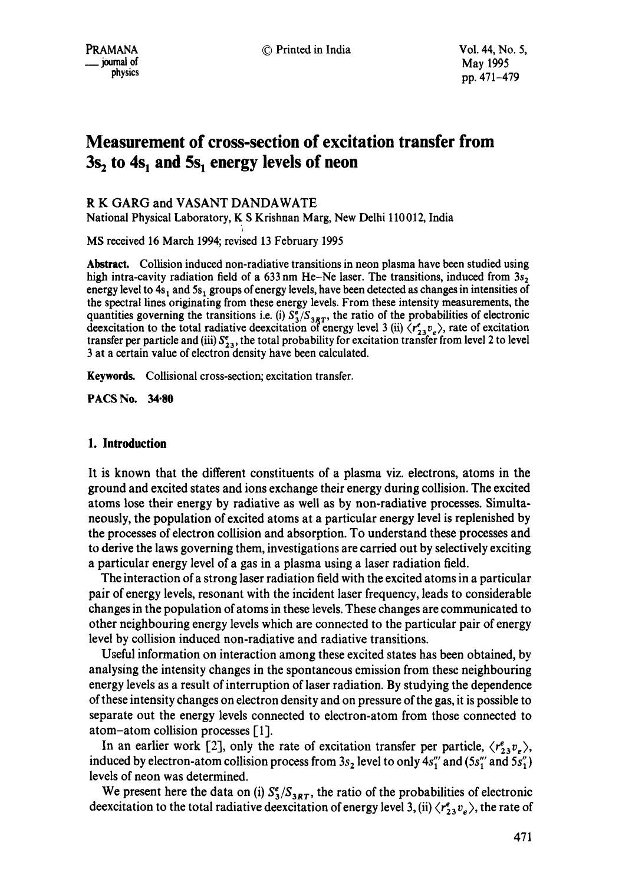# **Measurement of cross-section of excitation transfer from**  3s<sub>2</sub> to 4s<sub>1</sub> and 5s<sub>1</sub> energy levels of neon

# R K GARG and VASANT DANDAWATE

National Physical Laboratory, K S Krishnan Marg, New Delhi 110 012, India

MS received 16 March 1994; revised 13 February 1995

**Abstract.** Collision induced non-radiative transitions in neon plasma have been studied using high intra-cavity radiation field of a 633 nm He-Ne laser. The transitions, induced from  $3s<sub>2</sub>$ energy level to  $4s_1$  and  $5s_1$  groups of energy levels, have been detected as changes in intensities of the spectral lines originating from these energy levels. From these intensity measurements, the quantities governing the transitions i.e. (i)  $S_3^2/S_{3RT}$ , the ratio of the probabilities of electronic deexcitation to the total radiative deexcitation of energy level 3 (ii)  $\langle r_{23}^e v_e \rangle$ , rate of excitation transfer per particle and (iii)  $S_{23}^e$ , the total probability for excitation transfer from level 2 to level 3 at a certain value of electron density have been calculated.

Keywords. Collisional cross-section; excitation transfer.

**PACS No. 34.80** 

### **1. Introduction**

It is known that the different constituents of a plasma viz. electrons, atoms in the ground and excited states and ions exchange their energy during collision. The excited atoms lose their energy by radiative as well as by non-radiative processes. Simultaneously, the population of excited atoms at a particular energy level is replenished by the processes of electron collision and absorption. To understand these processes and to derive the laws governing them, investigations are carried out by selectively exciting a particular energy level of a gas in a plasma using a laser radiation field.

The interaction of a strong laser radiation field with the excited atoms in a particular pair of energy levels, resonant with the incident laser frequency, leads to considerable changes in the population of atoms in these levels. These changes are communicated to other neighbouring energy levels which are connected to the particular pair of energy level by collision induced non-radiative and radiative transitions.

Useful information on interaction among these excited states has been obtained, by analysing the intensity changes in the spontaneous emission from these neighbouring energy levels as a result of interruption of laser radiation. By studying the dependence of these intensity changes on electron density and on pressure of the gas, it is possible to separate out the energy levels connected to electron-atom from those connected to atom-atom collision processes [1].

In an earlier work [2], only the rate of excitation transfer per particle,  $\langle r_{23}^e v_{\varepsilon} \rangle$ , induced by electron-atom collision process from  $3s_2$  level to only  $4s''_1$  and  $(5s''_1$  and  $5s''_1)$ levels of neon was determined.

We present here the data on (i)  $S^e_3/S_{3RT}$ , the ratio of the probabilities of electronic deexcitation to the total radiative deexcitation of energy level 3, (ii)  $\langle r_{23}^e v_e \rangle$ , the rate of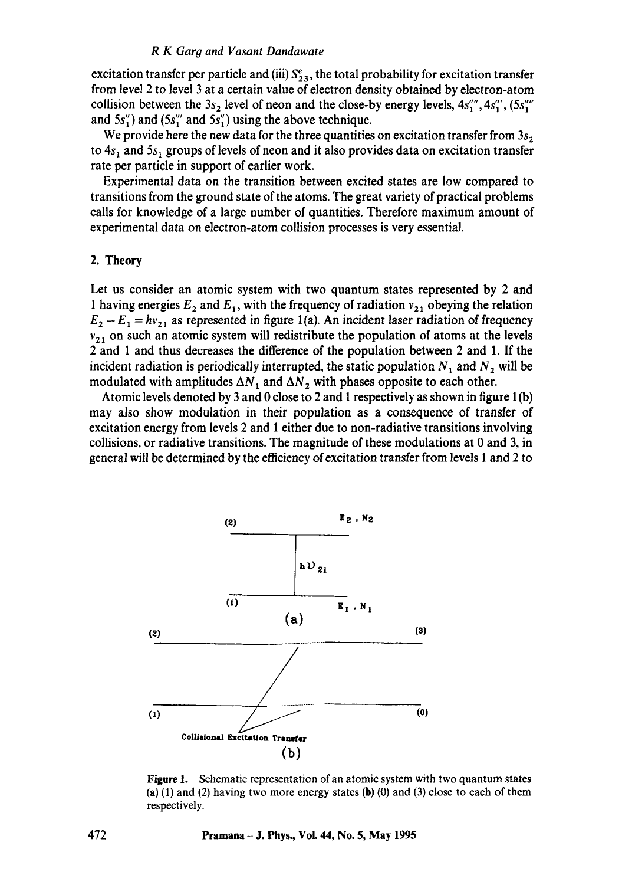#### *R K Garg and Vasant Dandawate*

excitation transfer per particle and (iii)  $S_{2,3}^e$ , the total probability for excitation transfer from level 2 to level 3 at a certain value of electron density obtained by electron-atom collision between the  $3s_2$  level of neon and the close-by energy levels,  $4s''_1$ ,  $4s''_1$ ,  $(5s''_1)$ and  $5s''_1$ ) and  $(5s''_1 \text{ and } 5s''_1)$  using the above technique.

We provide here the new data for the three quantities on excitation transfer from  $3s<sub>2</sub>$ to  $4s<sub>1</sub>$  and  $5s<sub>1</sub>$  groups of levels of neon and it also provides data on excitation transfer rate per particle in support of earlier work.

Experimental data on the transition between excited states are low compared to transitions from the ground state of the atoms. The great variety of practical problems calls for knowledge of a large number of quantities. Therefore maximum amount of experimental data on electron-atom collision processes is very essential.

#### 2, **Theory**

Let us consider an atomic system with two quantum states represented by 2 and 1 having energies  $E_2$  and  $E_1$ , with the frequency of radiation  $v_{21}$  obeying the relation  $E_2 - E_1 = hv_{21}$  as represented in figure 1(a). An incident laser radiation of frequency  $v_{21}$  on such an atomic system will redistribute the population of atoms at the levels 2 and 1 and thus decreases the difference of the population between 2 and 1. If the incident radiation is periodically interrupted, the static population  $N_1$  and  $N_2$  will be modulated with amplitudes  $\Delta N_1$  and  $\Delta N_2$  with phases opposite to each other.

Atomic levels denoted by 3 and 0 close to 2 and 1 respectively as shown in figure  $1(b)$ may also show modulation in their population as a consequence of transfer of excitation energy from levels 2 and 1 either due to non-radiative transitions involving collisions, or radiative transitions. The magnitude of these modulations at 0 and 3, in general will be determined by the efficiency of excitation transfer from levels 1 and 2 to



Figure 1. Schematic representation of an atomic system with two quantum states (a) (1) and (2) having two more energy states (b) (0) and (3) close to each of them respectively.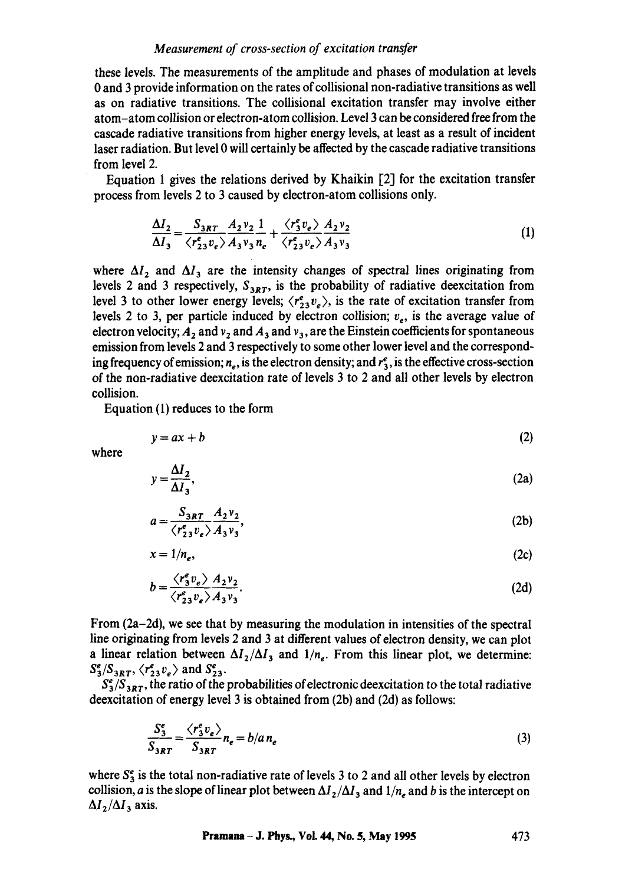# *Measurement of cross-section of excitation transfer*

these levels. The measurements of the amplitude and phases of modulation at levels 0 and 3 provide information on the rates of collisional non-radiative transitions as well as on radiative transitions. The collisional excitation transfer may involve either atom-atom collision or electron-atom collision. Level 3 can be considered free from the cascade radiative transitions from higher energy levels, at least as a result of incident laser radiation. But level 0 will certainly be affected by the cascade radiative transitions from level 2.

Equation 1 gives the relations derived by Khaikin [2] for the excitation transfer process from levels 2 to 3 caused by electron-atom collisions only.

$$
\frac{\Delta I_2}{\Delta I_3} = \frac{S_{3RT}}{\langle r_{23}^e v_e \rangle} \frac{A_2 v_2}{A_3 v_3 n_e} + \frac{\langle r_3^e v_e \rangle}{\langle r_{23}^e v_e \rangle} \frac{A_2 v_2}{A_3 v_3}
$$
(1)

where  $\Delta I_2$  and  $\Delta I_3$  are the intensity changes of spectral lines originating from levels 2 and 3 respectively,  $S_{3RT}$ , is the probability of radiative deexcitation from level 3 to other lower energy levels;  $\langle r_{23}^e v_e \rangle$ , is the rate of excitation transfer from levels 2 to 3, per particle induced by electron collision;  $v_e$ , is the average value of electron velocity;  $A_2$  and  $v_3$  and  $A_3$  and  $v_4$ , are the Einstein coefficients for spontaneous emission from levels 2 and 3 respectively to some other lower level and the corresponding frequency of emission;  $n_e$ , is the electron density; and  $r_3$ , is the effective cross-section of the non-radiative deexcitation rate of levels 3 to 2 and all other levels by electron collision.

Equation (1) reduces to the form

$$
y = ax + b \tag{2}
$$

where

$$
y = \frac{\Delta I_2}{\Delta I_3},\tag{2a}
$$

$$
a = \frac{S_{3RT}}{\langle r_{23}^e v_e \rangle} \frac{A_2 v_2}{A_3 v_3},\tag{2b}
$$

$$
x = 1/n_e, \tag{2c}
$$

$$
b = \frac{\langle r_3^e v_e \rangle A_2 v_2}{\langle r_{23}^e v_e \rangle A_3 v_3}.
$$
 (2d)

From (2a-2d), we see that by measuring the modulation in intensities of the spectral line originating from levels 2 and 3 at different values of electron density, we can plot a linear relation between  $\Delta I_2/\Delta I_3$  and  $1/n_e$ . From this linear plot, we determine:  $S_3^e/S_{3RT}$ ,  $\langle r_{23}^e v_e \rangle$  and  $S_{23}^e$ .

 $S_3^e/S_{3RT}$ , the ratio of the probabilities of electronic deexcitation to the total radiative deexcitation of energy level 3 is obtained from (2b) and (2d) as follows:

$$
\frac{S_s^e}{S_{3RT}} = \frac{\langle r_s^e v_e \rangle}{S_{3RT}} n_e = b/a n_e
$$
 (3)

where  $S_3^e$  is the total non-radiative rate of levels 3 to 2 and all other levels by electron collision, *a* is the slope of linear plot between  $\Delta I_2/\Delta I_3$  and  $1/n_e$  and *b* is the intercept on  $\Delta I_2/\Delta I_3$  axis.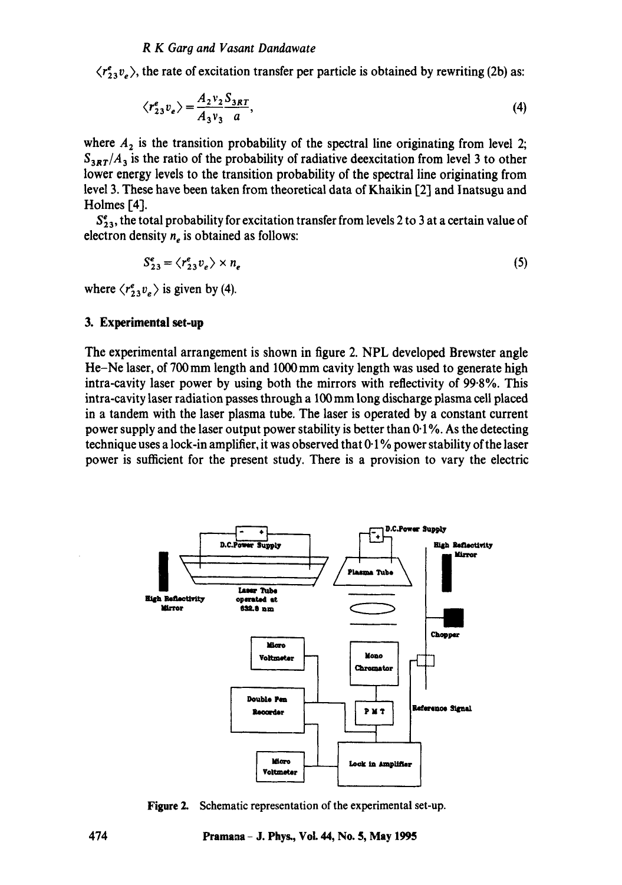#### *R K Garg and Vasant Dandawate*

 $\langle r^e_{33} v_{\rho} \rangle$ , the rate of excitation transfer per particle is obtained by rewriting (2b) as:

$$
\langle r_{23}^e v_e \rangle = \frac{A_2 v_2 S_{3RT}}{A_3 v_3 a},\tag{4}
$$

where  $A_2$  is the transition probability of the spectral line originating from level 2;  $S_{3RT}/A_3$  is the ratio of the probability of radiative deexcitation from level 3 to other lower energy levels to the transition probability of the spectral line originating from level 3. These have been taken from theoretical data of Khaikin [2] and lnatsugu and Holmes  $[4]$ .

 $S_{23}^e$ , the total probability for excitation transfer from levels 2 to 3 at a certain value of electron density  $n_e$  is obtained as follows:

$$
S_{23}^e = \langle r_{23}^e v_e \rangle \times n_e \tag{5}
$$

where  $\langle r_{23}^e v_e \rangle$  is given by (4).

#### **3. Experimental set-up**

The experimental arrangement is shown in figure 2. NPL developed Brewster angle He-Ne laser, of 700 mm length and 1000 mm cavity length was used to generate high intra-cavity laser power by using both the mirrors with reflectivity of 99.8%. This intra-cavity laser radiation passes through a 100mm long discharge plasma cell placed in a tandem with the laser plasma tube. The laser is operated by a constant current power supply and the laser output power stability is better than  $0.1\%$ . As the detecting technique uses a lock-in amplifier, it was observed that  $0.1\%$  power stability of the laser power is sufficient for the present study. There is a provision to vary the electric



**Figure 2.**  Schematic representation of the experimental set-up.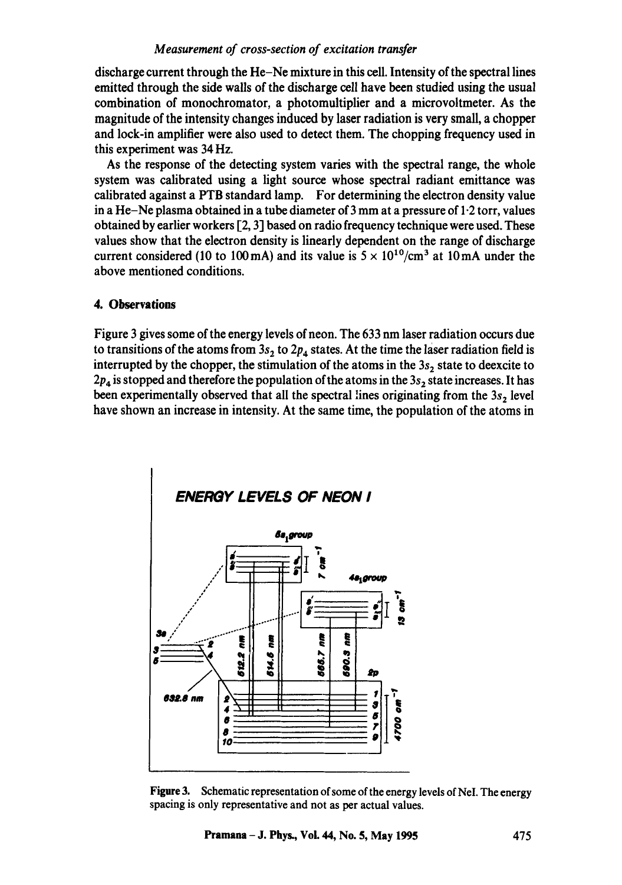## *Measurement of cross-section of excitation transfer*

discharge current through the He-Ne mixture in this cell. Intensity of the spectral lines emitted through the side walls of the discharge cell have been studied using the usual combination of monochromator, a photomultiplier and a microvoltmeter. As the magnitude of the intensity changes induced by laser radiation is very small, a chopper and lock-in amplifier were also used to detect them. The chopping frequency used in this experiment was 34 Hz.

As the response of the detecting system varies with the spectral range, the whole system was calibrated using a light source whose spectral radiant emittance was calibrated against a PTB standard lamp. For determining the electron density value in a He-Ne plasma obtained in a tube diameter of  $3 \text{ mm}$  at a pressure of  $1.2 \text{ torr}$ , values obtained by earlier workers  $[2, 3]$  based on radio frequency technique were used. These values show that the electron density is linearly dependent on the range of discharge current considered (10 to 100 mA) and its value is  $5 \times 10^{10}$ /cm<sup>3</sup> at 10 mA under the above mentioned conditions.

## **4. Observations**

Figure 3 gives some of the energy levels of neon. The 633 nm laser radiation occurs due to transitions of the atoms from  $3s_2$  to  $2p_4$  states. At the time the laser radiation field is interrupted by the chopper, the stimulation of the atoms in the  $3s<sub>2</sub>$  state to deexcite to  $2p_4$  is stopped and therefore the population of the atoms in the  $3s_2$  state increases. It has been experimentally observed that all the spectral lines originating from the  $3s<sub>2</sub>$  level have shown an increase in intensity. At the same time, the population of the atoms in



**Figure** 3. Schematic representation of some of the energy levels of NeI. The energy spacing is only representative and not as per actual values.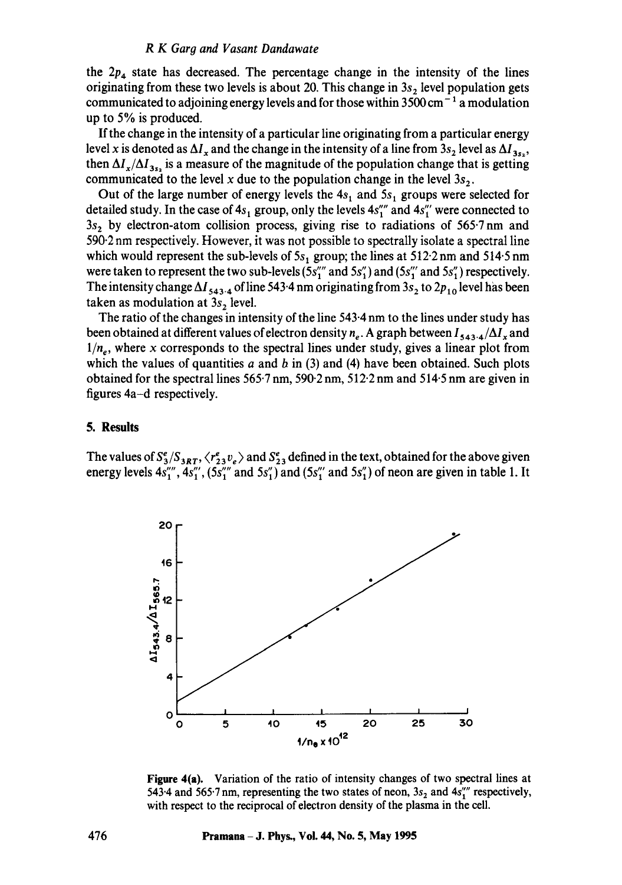#### *R K Garg and Vasant Dandawate*

the  $2p_4$  state has decreased. The percentage change in the intensity of the lines originating from these two levels is about 20. This change in  $3s<sub>2</sub>$  level population gets communicated to adjoining energy levels and for those within  $3500 \text{ cm}^{-1}$  a modulation up to  $5\%$  is produced.

If the change in the intensity of a particular line originating from a particular energy level x is denoted as  $\Delta I_x$  and the change in the intensity of a line from  $3s_2$  level as  $\Delta I_{3s_2}$ , then  $\Delta I_x/\Delta I_{3s}$  is a measure of the magnitude of the population change that is getting communicated to the level x due to the population change in the level  $3s<sub>2</sub>$ .

Out of the large number of energy levels the  $4s<sub>1</sub>$  and  $5s<sub>1</sub>$  groups were selected for detailed study. In the case of  $4s_1$  group, only the levels  $4s''_1$  and  $4s''_1$  were connected to  $3s<sub>2</sub>$  by electron-atom collision process, giving rise to radiations of 565.7 nm and 590"2 nm respectively. However, it was not possible to spectrally isolate a spectral line which would represent the sub-levels of  $5s_1$  group; the lines at  $512.2$  nm and  $514.5$  nm were taken to represent the two sub-levels  $(5s''_1 \text{ and } 5s''_1)$  and  $(5s''_1 \text{ and } 5s''_1)$  respectively. The intensity change  $\Delta I_{543.4}$  of line 543.4 nm originating from 3s<sub>2</sub> to 2p<sub>10</sub> level has been taken as modulation at  $3s$ , level.

The ratio of the changes in intensity of the line 543.4 nm to the lines under study has been obtained at different values of electron density  $n_e$ . A graph between  $I_{543.4}/\Delta I_x$  and  $1/n_e$ , where x corresponds to the spectral lines under study, gives a linear plot from which the values of quantities  $a$  and  $b$  in (3) and (4) have been obtained. Such plots obtained for the spectral lines 565-7 nm, 590.2 nm, 512.2 nm and 514.5 nm are given in figures 4a-d respectively.

#### **5. Results**

The values of  $S_3^e/S_{3RT}$ ,  $\langle r_{23}^e v_e \rangle$  and  $S_{23}^e$  defined in the text, obtained for the above given energy levels  $4s''''_1$ ,  $4s''_1$ ,  $(5s''_1$  and  $5s''_1)$  and  $(5s''_1$  and  $5s''_1)$  of neon are given in table 1. It



**Figure** 4(a). Variation of the ratio of intensity changes of two spectral lines at 543.4 and 565.7 nm, representing the two states of neon,  $3s_2$  and  $4s''$  respectively, with respect to the reciprocal of electron density of the plasma in the cell.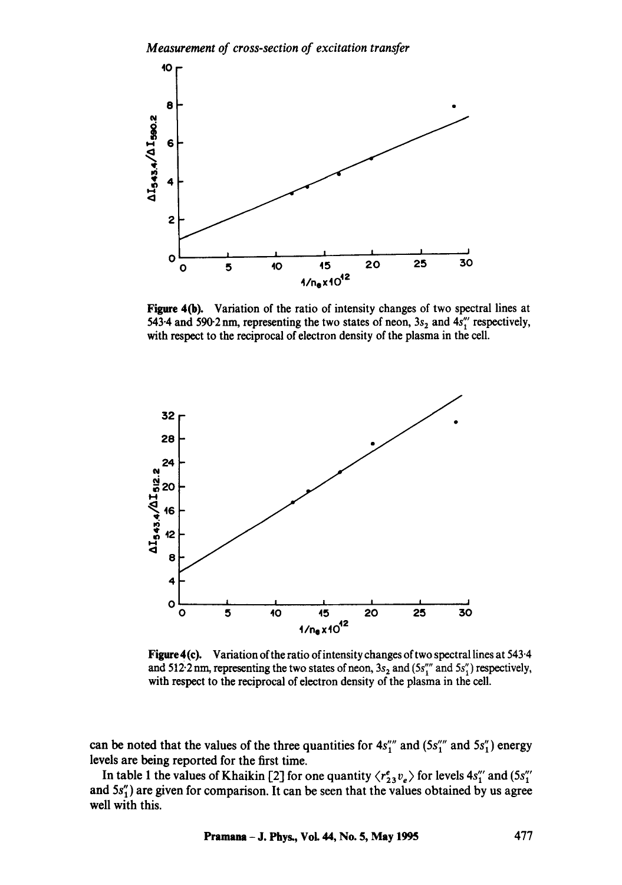*Measurement of cross-section of excitation transfer* 



Figure 4(b). Variation of the ratio of intensity changes of two spectral lines at 543.4 and 590.2 nm, representing the two states of neon,  $3s_2$  and  $4s''_1$  respectively, with respect to the reciprocal of electron density of the plasma in the cell.



Figure 4(c). Variation of the ratio of intensity changes of two spectral lines at 543.4 and 512<sup>.</sup>2 nm, representing the two states of neon,  $3s<sub>2</sub>$  and  $(5s''<sub>1</sub>$ <sup>m</sup> and  $5s''<sub>1</sub>$ ) respectively, with respect to the reciprocal of electron density of the plasma in the cell.

can be noted that the values of the three quantities for  $4s''''_1$  and  $(5s''''_1$  and  $5s''_1)$  energy levels are being reported for the first time.

In table 1 the values of Khaikin [2] for one quantity  $\langle r_{23}^e v_e \rangle$  for levels  $4s''_1$  and  $(5s''_1)$ and  $5s''_1$ ) are given for comparison. It can be seen that the values obtained by us agree well with this.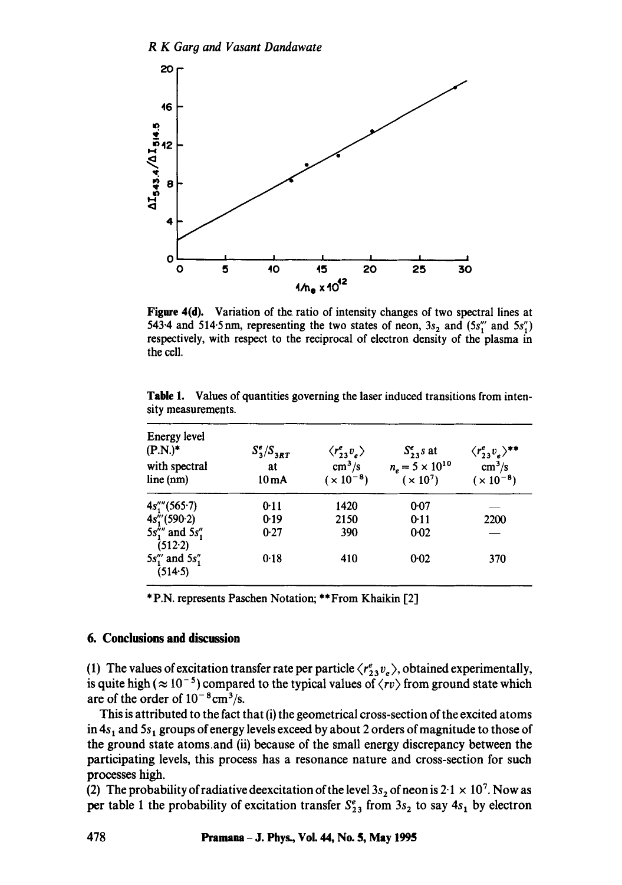

Figure 4(d). Variation of the ratio of intensity changes of two spectral lines at 543.4 and 514.5 nm, representing the two states of neon,  $3s_2$  and  $(5s''_1$  and  $5s''_1)$ respectively, with respect to the reciprocal of electron density of the plasma in the cell.

| Energy level<br>$(P.N.)^*$<br>with spectral<br>line (nm) | $S_3^e/S_{3RT}$<br>at<br>10 mA | $\langle r_{23}^e v_{\nu} \rangle$<br>$\text{cm}^3/\text{s}$<br>$(x 10^{-8})$ | $S_{23}^e$ s at<br>$n_e = 5 \times 10^{10}$<br>$(x 10^7)$ | $\langle r^e_{23}v_e\rangle^{**}$<br>$\text{cm}^3/\text{s}$<br>$(x 10^{-8})$ |
|----------------------------------------------------------|--------------------------------|-------------------------------------------------------------------------------|-----------------------------------------------------------|------------------------------------------------------------------------------|
| $4s'''_1(565.7)$                                         | 0:11                           | 1420                                                                          | 0.07                                                      |                                                                              |
| 4s''(590.2)                                              | 0.19                           | 2150                                                                          | 0:11                                                      | 2200                                                                         |
| $5s_1''''$ and $5s_1''$<br>(512.2)                       | 0.27                           | 390                                                                           | 0.02                                                      |                                                                              |
| $5s''_1$ and $5s''_1$<br>(514.5)                         | 0.18                           | 410                                                                           | 0.02                                                      | 370                                                                          |

Table 1. Values of quantities governing the laser induced transitions from intensity measurements.

\* P.N. represents Paschen Notation; \*\* From Khalkin [2]

#### **6. Conclusions and discussion**

(1) The values of excitation transfer rate per particle  $\langle r^e_{23} v_e \rangle$ , obtained experimentally, is quite high ( $\approx 10^{-5}$ ) compared to the typical values of  $\langle rv \rangle$  from ground state which are of the order of  $10^{-8}$ cm<sup>3</sup>/s.

This is attributed to the fact that (i) the geometrical cross-section of the excited atoms in  $4s<sub>1</sub>$  and  $5s<sub>1</sub>$  groups of energy levels exceed by about 2 orders of magnitude to those of the ground state atoms,and (ii) because of the small energy discrepancy between the participating levels, this process has a resonance nature and cross-section for such processes high.

(2) The probability of radiative deexcitation of the level  $3s_2$  of neon is  $2.1 \times 10^7$ . Now as per table 1 the probability of excitation transfer  $S_{23}^e$  from  $3s_2$  to say  $4s_1$  by electron